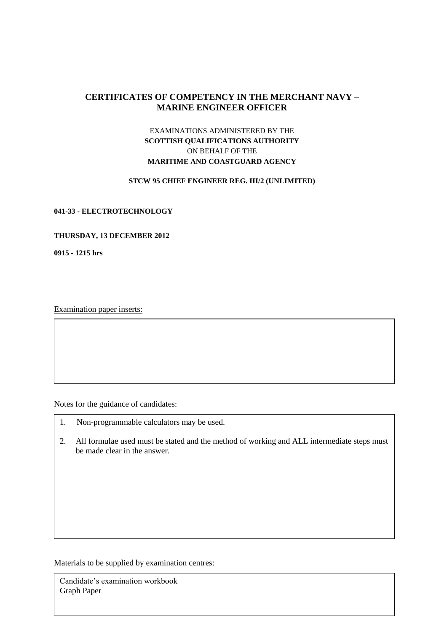# **CERTIFICATES OF COMPETENCY IN THE MERCHANT NAVY – MARINE ENGINEER OFFICER**

# EXAMINATIONS ADMINISTERED BY THE **SCOTTISH QUALIFICATIONS AUTHORITY** ON BEHALF OF THE **MARITIME AND COASTGUARD AGENCY**

#### **STCW 95 CHIEF ENGINEER REG. III/2 (UNLIMITED)**

#### **041-33 - ELECTROTECHNOLOGY**

#### **THURSDAY, 13 DECEMBER 2012**

**0915 - 1215 hrs**

Examination paper inserts:

Notes for the guidance of candidates:

- 1. Non-programmable calculators may be used.
- 2. All formulae used must be stated and the method of working and ALL intermediate steps must be made clear in the answer.

Materials to be supplied by examination centres:

Candidate's examination workbook Graph Paper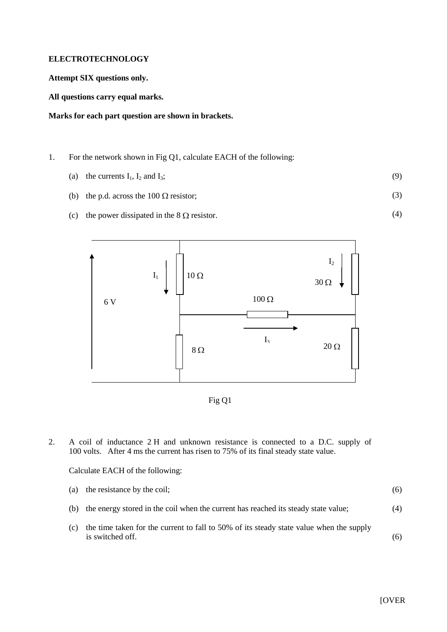### **ELECTROTECHNOLOGY**

**Attempt SIX questions only.**

**All questions carry equal marks.**

### **Marks for each part question are shown in brackets.**

- 1. For the network shown in Fig Q1, calculate EACH of the following:
	- (a) the currents  $I_1$ ,  $I_2$  and  $I_3$ ; (9)
	- (b) the p.d. across the 100  $\Omega$  resistor; (3)
	- (c) the power dissipated in the  $8 \Omega$  resistor.





2. A coil of inductance 2 H and unknown resistance is connected to a D.C. supply of 100 volts. After 4 ms the current has risen to 75% of its final steady state value.

#### Calculate EACH of the following:

| (a) the resistance by the coil;                                                        | (6) |
|----------------------------------------------------------------------------------------|-----|
| (b) the energy stored in the coil when the current has reached its steady state value; | (4) |

(c) the time taken for the current to fall to 50% of its steady state value when the supply is switched off. (6)

(4)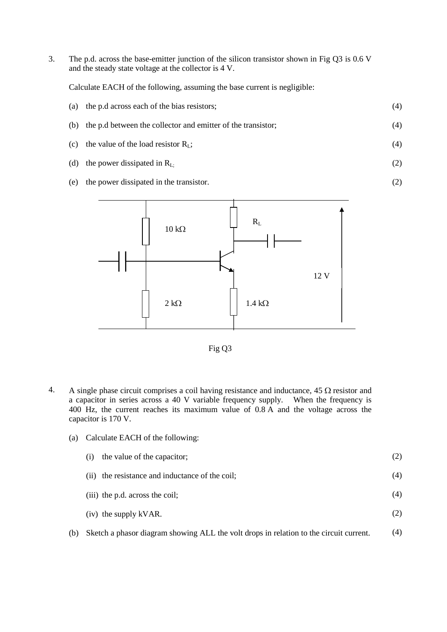3. The p.d. across the base-emitter junction of the silicon transistor shown in Fig Q3 is 0.6 V and the steady state voltage at the collector is 4 V.

Calculate EACH of the following, assuming the base current is negligible:

| (a) the p.d across each of the bias resistors; |  |
|------------------------------------------------|--|
|                                                |  |

- (b) the p.d between the collector and emitter of the transistor; (4)
- (c) the value of the load resistor  $R_L$ ; (4)
- (d) the power dissipated in  $R_{L}$ ; (2)

(2)

(e) the power dissipated in the transistor.





4. A single phase circuit comprises a coil having resistance and inductance,  $45 \Omega$  resistor and a capacitor in series across a 40 V variable frequency supply. When the frequency is 400 Hz, the current reaches its maximum value of 0.8 A and the voltage across the capacitor is 170 V.

|  |  |  |  | (a) Calculate EACH of the following: |
|--|--|--|--|--------------------------------------|
|--|--|--|--|--------------------------------------|

| (i) the value of the capacitor;                 |     |
|-------------------------------------------------|-----|
| (ii) the resistance and inductance of the coil; | (4) |
| (iii) the p.d. across the coil;                 | (4) |
| (iv) the supply kVAR.                           |     |

(b) Sketch a phasor diagram showing ALL the volt drops in relation to the circuit current. (4)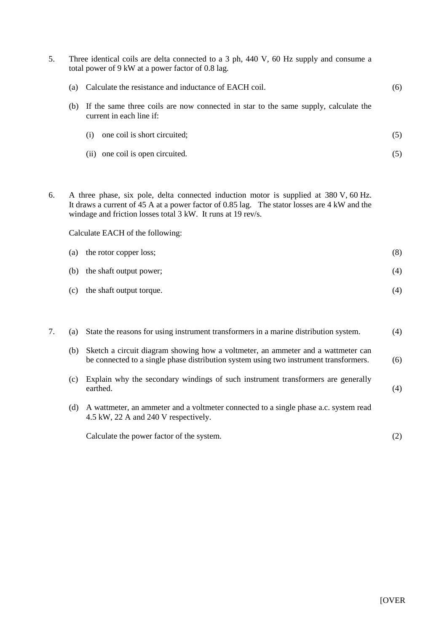| 5. | Three identical coils are delta connected to a 3 ph, 440 V, 60 Hz supply and consume a<br>total power of 9 kW at a power factor of 0.8 lag.                                                                                                                                               |                                                                                                                                                                           |     |  |
|----|-------------------------------------------------------------------------------------------------------------------------------------------------------------------------------------------------------------------------------------------------------------------------------------------|---------------------------------------------------------------------------------------------------------------------------------------------------------------------------|-----|--|
|    | (a)                                                                                                                                                                                                                                                                                       | Calculate the resistance and inductance of EACH coil.                                                                                                                     | (6) |  |
|    | (b)                                                                                                                                                                                                                                                                                       | If the same three coils are now connected in star to the same supply, calculate the<br>current in each line if:                                                           |     |  |
|    |                                                                                                                                                                                                                                                                                           | one coil is short circuited;<br>(i)                                                                                                                                       | (5) |  |
|    |                                                                                                                                                                                                                                                                                           | (ii) one coil is open circuited.                                                                                                                                          | (5) |  |
| 6. | A three phase, six pole, delta connected induction motor is supplied at 380 V, 60 Hz.<br>It draws a current of 45 A at a power factor of 0.85 lag. The stator losses are 4 kW and the<br>windage and friction losses total 3 kW. It runs at 19 rev/s.<br>Calculate EACH of the following: |                                                                                                                                                                           |     |  |
|    |                                                                                                                                                                                                                                                                                           |                                                                                                                                                                           |     |  |
|    | (a)                                                                                                                                                                                                                                                                                       | the rotor copper loss;                                                                                                                                                    | (8) |  |
|    | (b)                                                                                                                                                                                                                                                                                       | the shaft output power;                                                                                                                                                   | (4) |  |
|    | (c)                                                                                                                                                                                                                                                                                       | the shaft output torque.                                                                                                                                                  | (4) |  |
|    |                                                                                                                                                                                                                                                                                           |                                                                                                                                                                           |     |  |
| 7. | (a)                                                                                                                                                                                                                                                                                       | State the reasons for using instrument transformers in a marine distribution system.                                                                                      | (4) |  |
|    | (b)                                                                                                                                                                                                                                                                                       | Sketch a circuit diagram showing how a voltmeter, an ammeter and a wattmeter can<br>be connected to a single phase distribution system using two instrument transformers. | (6) |  |
|    | (c)                                                                                                                                                                                                                                                                                       | Explain why the secondary windings of such instrument transformers are generally<br>earthed.                                                                              | (4) |  |
|    | (d)                                                                                                                                                                                                                                                                                       | A wattmeter, an ammeter and a voltmeter connected to a single phase a.c. system read<br>4.5 kW, 22 A and 240 V respectively.                                              |     |  |
|    |                                                                                                                                                                                                                                                                                           | Calculate the power factor of the system.                                                                                                                                 | (2) |  |